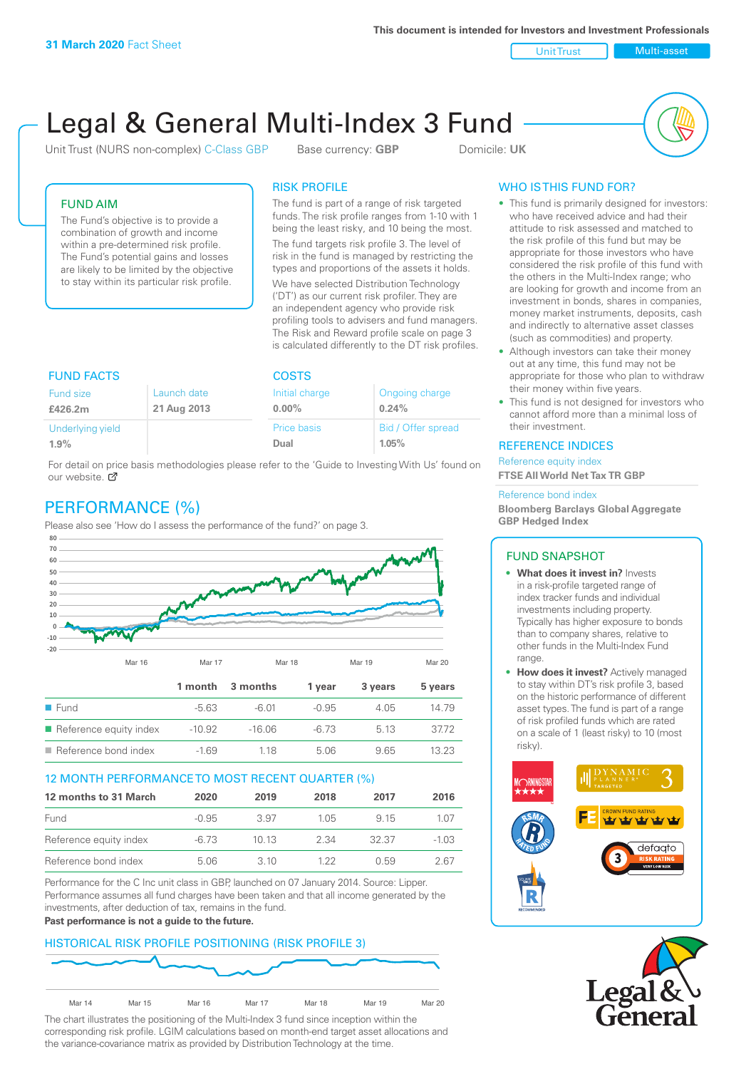**This document is intended for Investors and Investment Professionals**

Unit Trust Nulti-asset

# Legal & General Multi-Index 3 Fund

Unit Trust (NURS non-complex) C-Class GBP Base currency: **GBP** Domicile: UK



#### FUND AIM

The Fund's objective is to provide a combination of growth and income within a pre-determined risk profile. The Fund's potential gains and losses are likely to be limited by the objective to stay within its particular risk profile.

#### RISK PROFILE

The fund is part of a range of risk targeted funds. The risk profile ranges from 1-10 with 1 being the least risky, and 10 being the most.

The fund targets risk profile 3. The level of risk in the fund is managed by restricting the types and proportions of the assets it holds. We have selected Distribution Technology ('DT') as our current risk profiler. They are an independent agency who provide risk profiling tools to advisers and fund managers. The Risk and Reward profile scale on page 3 is calculated differently to the DT risk profiles.

| <b>FUND FACTS</b> |             | <b>COSTS</b>   |                    |  |
|-------------------|-------------|----------------|--------------------|--|
| Fund size         | Launch date | Initial charge | Ongoing charge     |  |
| £426.2m           | 21 Aug 2013 | $0.00\%$       | 0.24%              |  |
| Underlying yield  |             | Price basis    | Bid / Offer spread |  |
| 1.9%              |             | Dual           | 1.05%              |  |

For detail on price basis methodologies please refer to the 'Guide to Investing With Us' found on our website. Ø

# PERFORMANCE (%)

Please also see 'How do I assess the performance of the fund?' on page 3.



#### 12 MONTH PERFORMANCE TO MOST RECENT QUARTER (%)

| 12 months to 31 March  | 2020    | 2019  | 2018  | 2017  | 2016    |
|------------------------|---------|-------|-------|-------|---------|
| Fund                   | $-0.95$ | 3.97  | 1 0.5 | 9 15  | 1.07    |
| Reference equity index | -6.73   | 1013  | 2.34  | 32.37 | $-1.03$ |
| Reference bond index   | 5.06    | 3. IO | 1 22  | ()59  | 2 67    |

Performance for the C Inc unit class in GBP, launched on 07 January 2014. Source: Lipper. Performance assumes all fund charges have been taken and that all income generated by the investments, after deduction of tax, remains in the fund.

#### **Past performance is not a guide to the future.**

#### HISTORICAL RISK PROFILE POSITIONING (RISK PROFILE 3)



The chart illustrates the positioning of the Multi-Index 3 fund since inception within the corresponding risk profile. LGIM calculations based on month-end target asset allocations and the variance-covariance matrix as provided by Distribution Technology at the time.

#### WHO IS THIS FUND FOR?

- This fund is primarily designed for investors: who have received advice and had their attitude to risk assessed and matched to the risk profile of this fund but may be appropriate for those investors who have considered the risk profile of this fund with the others in the Multi-Index range; who are looking for growth and income from an investment in bonds, shares in companies, money market instruments, deposits, cash and indirectly to alternative asset classes (such as commodities) and property.
- Although investors can take their money out at any time, this fund may not be appropriate for those who plan to withdraw their money within five years.
- This fund is not designed for investors who cannot afford more than a minimal loss of their investment.

#### REFERENCE INDICES

Reference equity index **FTSE All World Net Tax TR GBP**

#### Reference bond index

**Bloomberg Barclays Global Aggregate GBP Hedged Index**

#### FUND SNAPSHOT

- **• What does it invest in?** Invests in a risk-profile targeted range of index tracker funds and individual investments including property. Typically has higher exposure to bonds than to company shares, relative to other funds in the Multi-Index Fund range.
- **• How does it invest?** Actively managed to stay within DT's risk profile 3, based on the historic performance of different asset types. The fund is part of a range of risk profiled funds which are rated on a scale of 1 (least risky) to 10 (most risky).



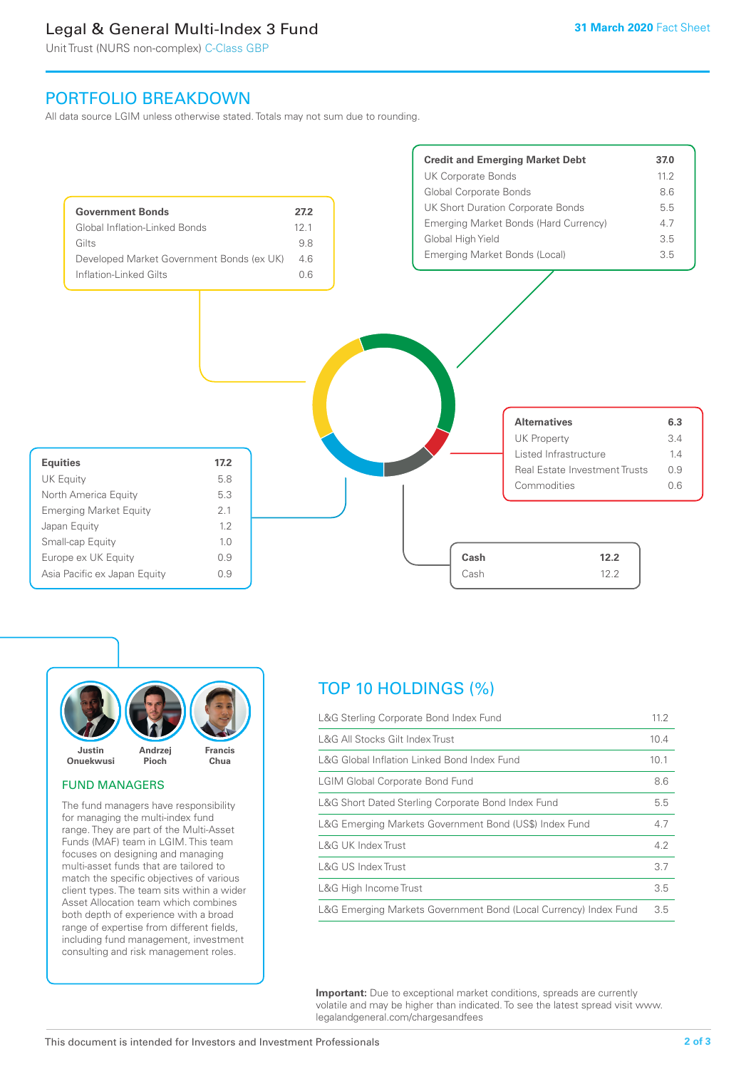## Legal & General Multi-Index 3 Fund

Unit Trust (NURS non-complex) C-Class GBP

### PORTFOLIO BREAKDOWN

All data source LGIM unless otherwise stated. Totals may not sum due to rounding.





#### FUND MANAGERS

The fund managers have responsibility for managing the multi-index fund range. They are part of the Multi-Asset Funds (MAF) team in LGIM. This team focuses on designing and managing multi-asset funds that are tailored to match the specific objectives of various client types. The team sits within a wider Asset Allocation team which combines both depth of experience with a broad range of expertise from different fields, including fund management, investment consulting and risk management roles.

## TOP 10 HOLDINGS (%)

| L&G Sterling Corporate Bond Index Fund                           | 11.2 |
|------------------------------------------------------------------|------|
| L&G All Stocks Gilt Index Trust                                  | 10.4 |
| L&G Global Inflation Linked Bond Index Fund                      | 10.1 |
| <b>LGIM Global Corporate Bond Fund</b>                           | 8.6  |
| L&G Short Dated Sterling Corporate Bond Index Fund               | 5.5  |
| L&G Emerging Markets Government Bond (US\$) Index Fund           | 4.7  |
| <b>L&amp;G UK Index Trust</b>                                    | 4.2  |
| <b>L&amp;G US Index Trust</b>                                    | 3.7  |
| L&G High Income Trust                                            | 3.5  |
| L&G Emerging Markets Government Bond (Local Currency) Index Fund | 3.5  |

**Important:** Due to exceptional market conditions, spreads are currently volatile and may be higher than indicated. To see the latest spread visit www. legalandgeneral.com/chargesandfees